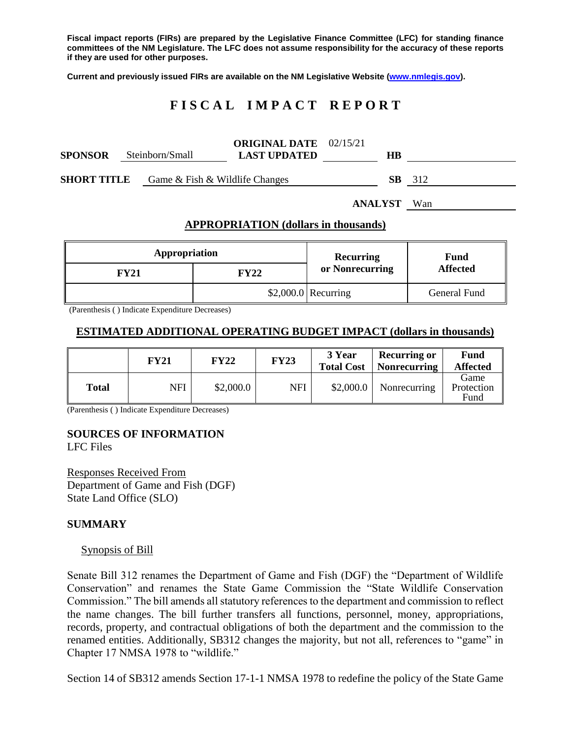**Fiscal impact reports (FIRs) are prepared by the Legislative Finance Committee (LFC) for standing finance committees of the NM Legislature. The LFC does not assume responsibility for the accuracy of these reports if they are used for other purposes.**

**Current and previously issued FIRs are available on the NM Legislative Website [\(www.nmlegis.gov\)](http://www.nmlegis.gov/).**

# **F I S C A L I M P A C T R E P O R T**

| <b>SPONSOR</b>     | Steinborn/Small                | <b>ORIGINAL DATE</b> 02/15/21<br><b>LAST UPDATED</b> | HВ  |     |
|--------------------|--------------------------------|------------------------------------------------------|-----|-----|
| <b>SHORT TITLE</b> | Game & Fish & Wildlife Changes |                                                      | SB. | 312 |

**ANALYST** Wan

#### **APPROPRIATION (dollars in thousands)**

| Appropriation |      | <b>Recurring</b>     | Fund<br><b>Affected</b> |  |
|---------------|------|----------------------|-------------------------|--|
| FY21          | FY22 | or Nonrecurring      |                         |  |
|               |      | $$2,000.0$ Recurring | General Fund            |  |

(Parenthesis ( ) Indicate Expenditure Decreases)

### **ESTIMATED ADDITIONAL OPERATING BUDGET IMPACT (dollars in thousands)**

|              | <b>FY21</b> | <b>FY22</b> | <b>FY23</b> | 3 Year<br><b>Total Cost</b> | <b>Recurring or</b><br><b>Nonrecurring</b> | <b>Fund</b><br><b>Affected</b> |
|--------------|-------------|-------------|-------------|-----------------------------|--------------------------------------------|--------------------------------|
| <b>Total</b> | NFI         | \$2,000.0   | NFI         | \$2,000.0                   | Nonrecurring                               | Game<br>Protection<br>Fund     |

(Parenthesis ( ) Indicate Expenditure Decreases)

### **SOURCES OF INFORMATION**

LFC Files

Responses Received From Department of Game and Fish (DGF) State Land Office (SLO)

#### **SUMMARY**

#### Synopsis of Bill

Senate Bill 312 renames the Department of Game and Fish (DGF) the "Department of Wildlife Conservation" and renames the State Game Commission the "State Wildlife Conservation Commission." The bill amends all statutory references to the department and commission to reflect the name changes. The bill further transfers all functions, personnel, money, appropriations, records, property, and contractual obligations of both the department and the commission to the renamed entities. Additionally, SB312 changes the majority, but not all, references to "game" in Chapter 17 NMSA 1978 to "wildlife."

Section 14 of SB312 amends Section 17-1-1 NMSA 1978 to redefine the policy of the State Game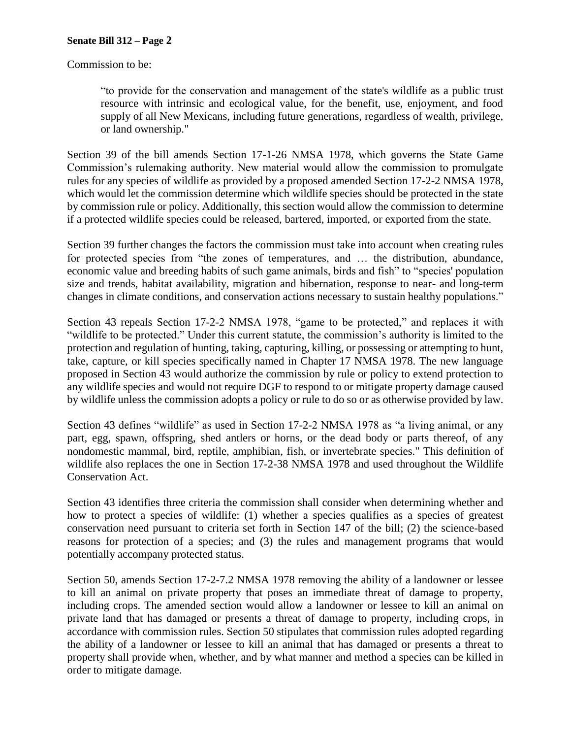Commission to be:

"to provide for the conservation and management of the state's wildlife as a public trust resource with intrinsic and ecological value, for the benefit, use, enjoyment, and food supply of all New Mexicans, including future generations, regardless of wealth, privilege, or land ownership."

Section 39 of the bill amends Section 17-1-26 NMSA 1978, which governs the State Game Commission's rulemaking authority. New material would allow the commission to promulgate rules for any species of wildlife as provided by a proposed amended Section 17-2-2 NMSA 1978, which would let the commission determine which wildlife species should be protected in the state by commission rule or policy. Additionally, this section would allow the commission to determine if a protected wildlife species could be released, bartered, imported, or exported from the state.

Section 39 further changes the factors the commission must take into account when creating rules for protected species from "the zones of temperatures, and … the distribution, abundance, economic value and breeding habits of such game animals, birds and fish" to "species' population size and trends, habitat availability, migration and hibernation, response to near- and long-term changes in climate conditions, and conservation actions necessary to sustain healthy populations."

Section 43 repeals Section 17-2-2 NMSA 1978, "game to be protected," and replaces it with "wildlife to be protected." Under this current statute, the commission's authority is limited to the protection and regulation of hunting, taking, capturing, killing, or possessing or attempting to hunt, take, capture, or kill species specifically named in Chapter 17 NMSA 1978. The new language proposed in Section 43 would authorize the commission by rule or policy to extend protection to any wildlife species and would not require DGF to respond to or mitigate property damage caused by wildlife unless the commission adopts a policy or rule to do so or as otherwise provided by law.

Section 43 defines "wildlife" as used in Section 17-2-2 NMSA 1978 as "a living animal, or any part, egg, spawn, offspring, shed antlers or horns, or the dead body or parts thereof, of any nondomestic mammal, bird, reptile, amphibian, fish, or invertebrate species." This definition of wildlife also replaces the one in Section 17-2-38 NMSA 1978 and used throughout the Wildlife Conservation Act.

Section 43 identifies three criteria the commission shall consider when determining whether and how to protect a species of wildlife: (1) whether a species qualifies as a species of greatest conservation need pursuant to criteria set forth in Section 147 of the bill; (2) the science-based reasons for protection of a species; and (3) the rules and management programs that would potentially accompany protected status.

Section 50, amends Section 17-2-7.2 NMSA 1978 removing the ability of a landowner or lessee to kill an animal on private property that poses an immediate threat of damage to property, including crops. The amended section would allow a landowner or lessee to kill an animal on private land that has damaged or presents a threat of damage to property, including crops, in accordance with commission rules. Section 50 stipulates that commission rules adopted regarding the ability of a landowner or lessee to kill an animal that has damaged or presents a threat to property shall provide when, whether, and by what manner and method a species can be killed in order to mitigate damage.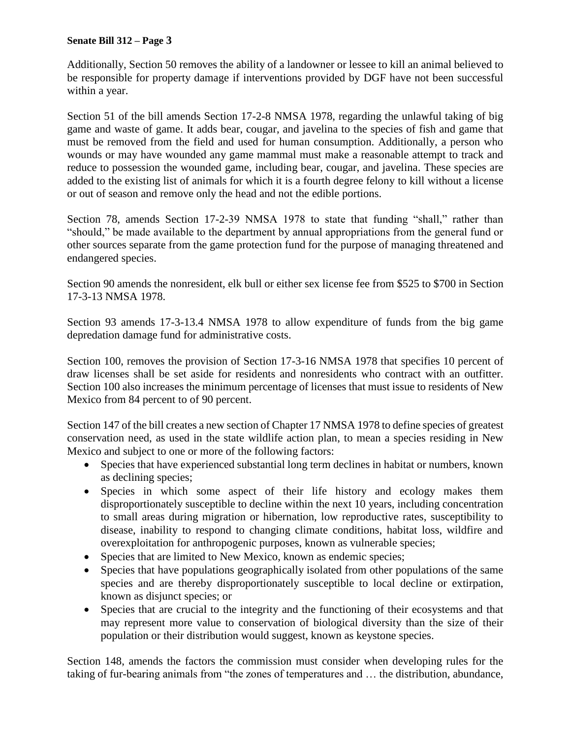### **Senate Bill 312 – Page 3**

Additionally, Section 50 removes the ability of a landowner or lessee to kill an animal believed to be responsible for property damage if interventions provided by DGF have not been successful within a year.

Section 51 of the bill amends Section 17-2-8 NMSA 1978, regarding the unlawful taking of big game and waste of game. It adds bear, cougar, and javelina to the species of fish and game that must be removed from the field and used for human consumption. Additionally, a person who wounds or may have wounded any game mammal must make a reasonable attempt to track and reduce to possession the wounded game, including bear, cougar, and javelina. These species are added to the existing list of animals for which it is a fourth degree felony to kill without a license or out of season and remove only the head and not the edible portions.

Section 78, amends Section 17-2-39 NMSA 1978 to state that funding "shall," rather than "should," be made available to the department by annual appropriations from the general fund or other sources separate from the game protection fund for the purpose of managing threatened and endangered species.

Section 90 amends the nonresident, elk bull or either sex license fee from \$525 to \$700 in Section 17-3-13 NMSA 1978.

Section 93 amends 17-3-13.4 NMSA 1978 to allow expenditure of funds from the big game depredation damage fund for administrative costs.

Section 100, removes the provision of Section 17-3-16 NMSA 1978 that specifies 10 percent of draw licenses shall be set aside for residents and nonresidents who contract with an outfitter. Section 100 also increases the minimum percentage of licenses that must issue to residents of New Mexico from 84 percent to of 90 percent.

Section 147 of the bill creates a new section of Chapter 17 NMSA 1978 to define species of greatest conservation need, as used in the state wildlife action plan, to mean a species residing in New Mexico and subject to one or more of the following factors:

- Species that have experienced substantial long term declines in habitat or numbers, known as declining species;
- Species in which some aspect of their life history and ecology makes them disproportionately susceptible to decline within the next 10 years, including concentration to small areas during migration or hibernation, low reproductive rates, susceptibility to disease, inability to respond to changing climate conditions, habitat loss, wildfire and overexploitation for anthropogenic purposes, known as vulnerable species;
- Species that are limited to New Mexico, known as endemic species;
- Species that have populations geographically isolated from other populations of the same species and are thereby disproportionately susceptible to local decline or extirpation, known as disjunct species; or
- Species that are crucial to the integrity and the functioning of their ecosystems and that may represent more value to conservation of biological diversity than the size of their population or their distribution would suggest, known as keystone species.

Section 148, amends the factors the commission must consider when developing rules for the taking of fur-bearing animals from "the zones of temperatures and … the distribution, abundance,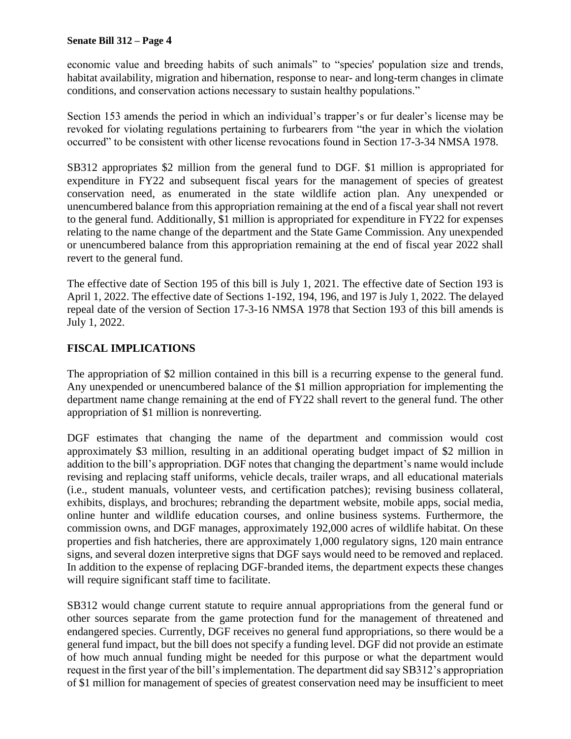### **Senate Bill 312 – Page 4**

economic value and breeding habits of such animals" to "species' population size and trends, habitat availability, migration and hibernation, response to near- and long-term changes in climate conditions, and conservation actions necessary to sustain healthy populations."

Section 153 amends the period in which an individual's trapper's or fur dealer's license may be revoked for violating regulations pertaining to furbearers from "the year in which the violation occurred" to be consistent with other license revocations found in Section 17-3-34 NMSA 1978.

SB312 appropriates \$2 million from the general fund to DGF. \$1 million is appropriated for expenditure in FY22 and subsequent fiscal years for the management of species of greatest conservation need, as enumerated in the state wildlife action plan. Any unexpended or unencumbered balance from this appropriation remaining at the end of a fiscal year shall not revert to the general fund. Additionally, \$1 million is appropriated for expenditure in FY22 for expenses relating to the name change of the department and the State Game Commission. Any unexpended or unencumbered balance from this appropriation remaining at the end of fiscal year 2022 shall revert to the general fund.

The effective date of Section 195 of this bill is July 1, 2021. The effective date of Section 193 is April 1, 2022. The effective date of Sections 1-192, 194, 196, and 197 is July 1, 2022. The delayed repeal date of the version of Section 17-3-16 NMSA 1978 that Section 193 of this bill amends is July 1, 2022.

## **FISCAL IMPLICATIONS**

The appropriation of \$2 million contained in this bill is a recurring expense to the general fund. Any unexpended or unencumbered balance of the \$1 million appropriation for implementing the department name change remaining at the end of FY22 shall revert to the general fund. The other appropriation of \$1 million is nonreverting.

DGF estimates that changing the name of the department and commission would cost approximately \$3 million, resulting in an additional operating budget impact of \$2 million in addition to the bill's appropriation. DGF notes that changing the department's name would include revising and replacing staff uniforms, vehicle decals, trailer wraps, and all educational materials (i.e., student manuals, volunteer vests, and certification patches); revising business collateral, exhibits, displays, and brochures; rebranding the department website, mobile apps, social media, online hunter and wildlife education courses, and online business systems. Furthermore, the commission owns, and DGF manages, approximately 192,000 acres of wildlife habitat. On these properties and fish hatcheries, there are approximately 1,000 regulatory signs, 120 main entrance signs, and several dozen interpretive signs that DGF says would need to be removed and replaced. In addition to the expense of replacing DGF-branded items, the department expects these changes will require significant staff time to facilitate.

SB312 would change current statute to require annual appropriations from the general fund or other sources separate from the game protection fund for the management of threatened and endangered species. Currently, DGF receives no general fund appropriations, so there would be a general fund impact, but the bill does not specify a funding level. DGF did not provide an estimate of how much annual funding might be needed for this purpose or what the department would request in the first year of the bill's implementation. The department did say SB312's appropriation of \$1 million for management of species of greatest conservation need may be insufficient to meet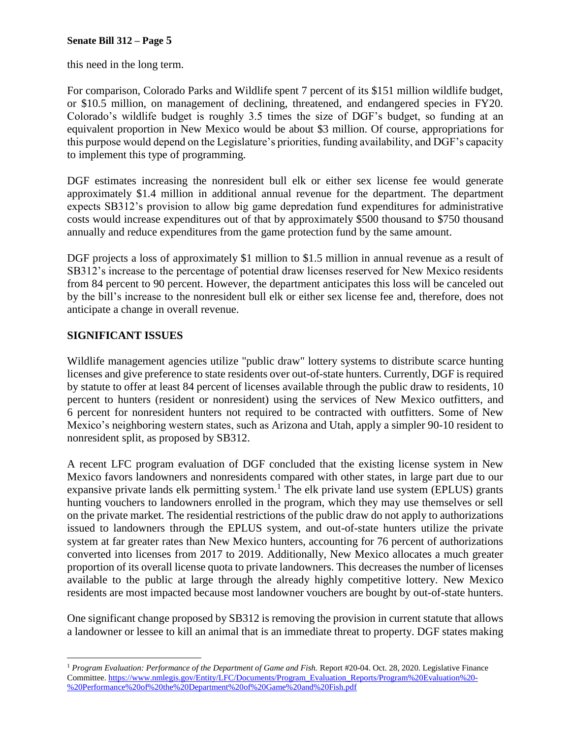this need in the long term.

For comparison, Colorado Parks and Wildlife spent 7 percent of its \$151 million wildlife budget, or \$10.5 million, on management of declining, threatened, and endangered species in FY20. Colorado's wildlife budget is roughly 3.5 times the size of DGF's budget, so funding at an equivalent proportion in New Mexico would be about \$3 million. Of course, appropriations for this purpose would depend on the Legislature's priorities, funding availability, and DGF's capacity to implement this type of programming.

DGF estimates increasing the nonresident bull elk or either sex license fee would generate approximately \$1.4 million in additional annual revenue for the department. The department expects SB312's provision to allow big game depredation fund expenditures for administrative costs would increase expenditures out of that by approximately \$500 thousand to \$750 thousand annually and reduce expenditures from the game protection fund by the same amount.

DGF projects a loss of approximately \$1 million to \$1.5 million in annual revenue as a result of SB312's increase to the percentage of potential draw licenses reserved for New Mexico residents from 84 percent to 90 percent. However, the department anticipates this loss will be canceled out by the bill's increase to the nonresident bull elk or either sex license fee and, therefore, does not anticipate a change in overall revenue.

## **SIGNIFICANT ISSUES**

Wildlife management agencies utilize "public draw" lottery systems to distribute scarce hunting licenses and give preference to state residents over out-of-state hunters. Currently, DGF is required by statute to offer at least 84 percent of licenses available through the public draw to residents, 10 percent to hunters (resident or nonresident) using the services of New Mexico outfitters, and 6 percent for nonresident hunters not required to be contracted with outfitters. Some of New Mexico's neighboring western states, such as Arizona and Utah, apply a simpler 90-10 resident to nonresident split, as proposed by SB312.

A recent LFC program evaluation of DGF concluded that the existing license system in New Mexico favors landowners and nonresidents compared with other states, in large part due to our expansive private lands elk permitting system.<sup>1</sup> The elk private land use system (EPLUS) grants hunting vouchers to landowners enrolled in the program, which they may use themselves or sell on the private market. The residential restrictions of the public draw do not apply to authorizations issued to landowners through the EPLUS system, and out-of-state hunters utilize the private system at far greater rates than New Mexico hunters, accounting for 76 percent of authorizations converted into licenses from 2017 to 2019. Additionally, New Mexico allocates a much greater proportion of its overall license quota to private landowners. This decreases the number of licenses available to the public at large through the already highly competitive lottery. New Mexico residents are most impacted because most landowner vouchers are bought by out-of-state hunters.

One significant change proposed by SB312 is removing the provision in current statute that allows a landowner or lessee to kill an animal that is an immediate threat to property. DGF states making

 $\overline{a}$ <sup>1</sup> *Program Evaluation: Performance of the Department of Game and Fish.* Report #20-04. Oct. 28, 2020. Legislative Finance Committee[. https://www.nmlegis.gov/Entity/LFC/Documents/Program\\_Evaluation\\_Reports/Program%20Evaluation%20-](https://www.nmlegis.gov/Entity/LFC/Documents/Program_Evaluation_Reports/Program%20Evaluation%20-%20Performance%20of%20the%20Department%20of%20Game%20and%20Fish.pdf) [%20Performance%20of%20the%20Department%20of%20Game%20and%20Fish.pdf](https://www.nmlegis.gov/Entity/LFC/Documents/Program_Evaluation_Reports/Program%20Evaluation%20-%20Performance%20of%20the%20Department%20of%20Game%20and%20Fish.pdf)